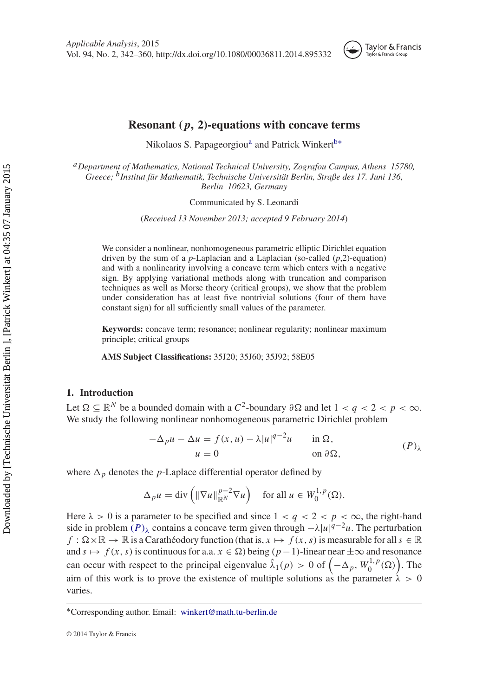<span id="page-0-6"></span><span id="page-0-4"></span>

# **Resonant (** *p***, 2)-equations with concave terms**

Nikol[a](#page-0-0)os S. Papageorgiou<sup>a</sup> and Patrick Winkert<sup>b[∗](#page-0-2)</sup>

<span id="page-0-1"></span><span id="page-0-0"></span>*a[D](#page-0-3)epartment of Mathematics, National Technical University, Zografou Campus, Athens 15780, Greece; b[I](#page-0-4)nstitut für Mathematik, Technische Universität Berlin, Straße des 17. Juni 136, Berlin 10623, Germany*

<span id="page-0-3"></span>Communicated by S. Leonardi

(*Received 13 November 2013; accepted 9 February 2014*)

We consider a nonlinear, nonhomogeneous parametric elliptic Dirichlet equation driven by the sum of a *p*-Laplacian and a Laplacian (so-called (*p*,2)-equation) and with a nonlinearity involving a concave term which enters with a negative sign. By applying variational methods along with truncation and comparison techniques as well as Morse theory (critical groups), we show that the problem under consideration has at least five nontrivial solutions (four of them have constant sign) for all sufficiently small values of the parameter.

**Keywords:** concave term; resonance; nonlinear regularity; nonlinear maximum principle; critical groups

**AMS Subject Classifications:** 35J20; 35J60; 35J92; 58E05

## **1. Introduction**

Let  $\Omega \subseteq \mathbb{R}^N$  be a bounded domain with a  $C^2$ -boundary  $\partial \Omega$  and let  $1 < q < 2 < p < \infty$ . We study the following nonlinear nonhomogeneous parametric Dirichlet problem

<span id="page-0-5"></span>
$$
-\Delta_p u - \Delta u = f(x, u) - \lambda |u|^{q-2}u \quad \text{in } \Omega,
$$
  
 
$$
u = 0 \quad \text{on } \partial \Omega,
$$
 (P)<sub>λ</sub>

where  $\Delta_p$  denotes the *p*-Laplace differential operator defined by

$$
\Delta_p u = \text{div}\left(\|\nabla u\|_{\mathbb{R}^N}^{p-2} \nabla u\right) \quad \text{for all } u \in W_0^{1,p}(\Omega).
$$

Here  $\lambda > 0$  is a parameter to be specified and since  $1 < q < 2 < p < \infty$ , the right-hand side in problem  $(P)_{\lambda}$  contains a concave term given through  $-\lambda |u|^{q-2}u$ . The perturbation  $f: \Omega \times \mathbb{R} \to \mathbb{R}$  is a Carathéodory function (that is,  $x \mapsto f(x, s)$  is measurable for all  $s \in \mathbb{R}$ and  $s \mapsto f(x, s)$  is continuous for a.a.  $x \in \Omega$ ) being  $(p-1)$ -linear near  $\pm \infty$  and resonance can occur with respect to the principal eigenvalue  $\hat{\lambda}_1(p) > 0$  of  $(-\Delta_p, W_0^{1,p}(\Omega))$ . The aim of this work is to prove the existence of multiple solutions as the parameter  $\lambda > 0$ varies.

<span id="page-0-2"></span>[<sup>∗</sup>](#page-0-6)Corresponding author. Email: winkert@math.tu-berlin.de

<sup>© 2014</sup> Taylor & Francis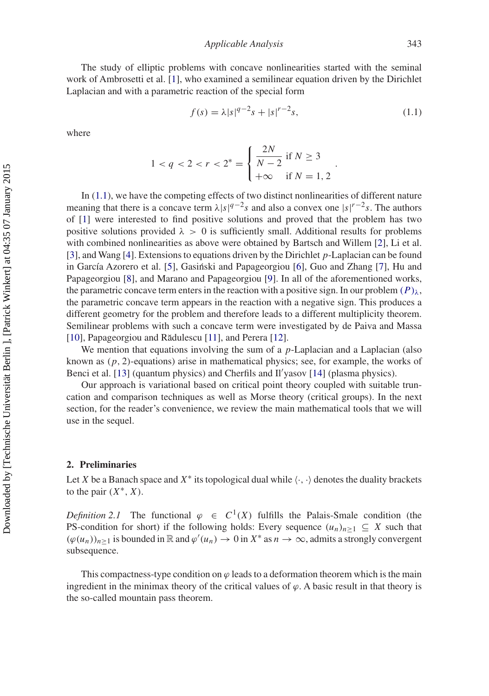*Applicable Analysis* 343

The study of elliptic problems with concave nonlinearities started with the seminal work of Ambrosetti et al. [\[1](#page-17-0)], who examined a semilinear equation driven by the Dirichlet Laplacian and with a parametric reaction of the special form

<span id="page-1-0"></span>
$$
f(s) = \lambda |s|^{q-2} s + |s|^{r-2} s, \tag{1.1}
$$

.

where

$$
1 < q < 2 < r < 2^* = \begin{cases} \frac{2N}{N-2} & \text{if } N \ge 3\\ +\infty & \text{if } N = 1, 2 \end{cases}
$$

In [\(1.1\)](#page-1-0), we have the competing effects of two distinct nonlinearities of different nature meaning that there is a concave term  $\lambda |s|^{q-2}$ s and also a convex one  $|s|^{r-2}$ s. The authors of [\[1\]](#page-17-0) were interested to find positive solutions and proved that the problem has two positive solutions provided  $\lambda > 0$  is sufficiently small. Additional results for problems with combined nonlinearities as above were obtained by Bartsch and Willem [\[2](#page-17-1)], Li et al. [\[3](#page-17-2)], and Wang [\[4](#page-17-3)]. Extensions to equations driven by the Dirichlet *p*-Laplacian can be found in García Azorero et al. [\[5\]](#page-17-4), Gasiński and Papageorgiou [[6](#page-17-5)], Guo and Zhang [\[7](#page-17-6)], Hu and Papageorgiou [\[8\]](#page-17-7), and Marano and Papageorgiou [\[9](#page-17-8)]. In all of the aforementioned works, the parametric concave term enters in the reaction with a positive sign. In our problem  $(P)_{\lambda}$ , the parametric concave term appears in the reaction with a negative sign. This produces a different geometry for the problem and therefore leads to a different multiplicity theorem. Semilinear problems with such a concave term were investigated by de Paiva and Massa [\[10](#page-18-0)], Papageorgiou and Rădulescu [[11](#page-18-1)], and Perera [\[12\]](#page-18-2).

We mention that equations involving the sum of a *p*-Laplacian and a Laplacian (also known as (*p*, 2)-equations) arise in mathematical physics; see, for example, the works of Benci et al. [\[13\]](#page-18-3) (quantum physics) and Cherfils and Il'yasov [\[14](#page-18-4)] (plasma physics).

Our approach is variational based on critical point theory coupled with suitable truncation and comparison techniques as well as Morse theory (critical groups). In the next section, for the reader's convenience, we review the main mathematical tools that we will use in the sequel.

#### **2. Preliminaries**

Let *X* be a Banach space and  $X^*$  its topological dual while  $\langle \cdot, \cdot \rangle$  denotes the duality brackets to the pair  $(X^*, X)$ .

*Definition 2.1* The functional  $\varphi \in C^1(X)$  fulfills the Palais-Smale condition (the PS-condition for short) if the following holds: Every sequence  $(u_n)_{n>1} \subseteq X$  such that  $(\varphi(u_n))_{n\geq 1}$  is bounded in  $\mathbb R$  and  $\varphi'(u_n) \to 0$  in  $X^*$  as  $n \to \infty$ , admits a strongly convergent subsequence.

<span id="page-1-1"></span>This compactness-type condition on  $\varphi$  leads to a deformation theorem which is the main ingredient in the minimax theory of the critical values of  $\varphi$ . A basic result in that theory is the so-called mountain pass theorem.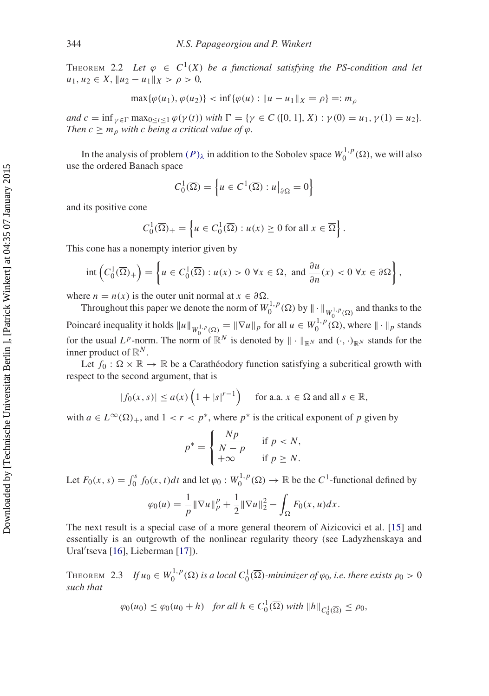THEOREM 2.2 Let  $\varphi \in C^1(X)$  be a functional satisfying the PS-condition and let  $u_1, u_2 \in X$ ,  $||u_2 - u_1||_X > \rho > 0$ ,

$$
\max{\{\varphi(u_1), \varphi(u_2)\}} < \inf{\{\varphi(u) : \|u - u_1\|_X = \rho\}} =: m_\rho
$$

*and*  $c = \inf_{\gamma \in \Gamma} \max_{0 \le t \le 1} \varphi(\gamma(t))$  *with*  $\Gamma = \{ \gamma \in C([0, 1], X) : \gamma(0) = u_1, \gamma(1) = u_2 \}.$ *Then*  $c \geq m_\rho$  *with c being a critical value of*  $\varphi$ *.* 

In the analysis of problem  $(P)_{\lambda}$  in addition to the Sobolev space  $W_0^{1,p}(\Omega)$ , we will also use the ordered Banach space

$$
C_0^1(\overline{\Omega}) = \left\{ u \in C^1(\overline{\Omega}) : u \big|_{\partial \Omega} = 0 \right\}
$$

and its positive cone

$$
C_0^1(\overline{\Omega})_+ = \left\{ u \in C_0^1(\overline{\Omega}) : u(x) \ge 0 \text{ for all } x \in \overline{\Omega} \right\}.
$$

This cone has a nonempty interior given by

$$
\operatorname{int}\left(C_0^1(\overline{\Omega})_+\right) = \left\{ u \in C_0^1(\overline{\Omega}) : u(x) > 0 \,\forall x \in \Omega, \text{ and } \frac{\partial u}{\partial n}(x) < 0 \,\forall x \in \partial \Omega \right\},\
$$

where  $n = n(x)$  is the outer unit normal at  $x \in \partial \Omega$ .

Throughout this paper we denote the norm of  $W_0^{1,p}(\Omega)$  by  $|| \cdot ||_{W_0^{1,p}(\Omega)}$  and thanks to the Poincaré inequality it holds  $||u||_{W_0^{1,p}(\Omega)} = ||\nabla u||_p$  for all  $u \in W_0^{1,p}(\Omega)$ , where  $||\cdot||_p$  stands for the usual  $L^p$ -norm. The norm of  $\mathbb{R}^N$  is denoted by  $\|\cdot\|_{\mathbb{R}^N}$  and  $(\cdot, \cdot)_{\mathbb{R}^N}$  stands for the inner product of  $\mathbb{R}^N$ .

Let  $f_0: \Omega \times \mathbb{R} \to \mathbb{R}$  be a Carathéodory function satisfying a subcritical growth with respect to the second argument, that is

$$
|f_0(x,s)| \le a(x) \left(1 + |s|^{r-1}\right) \quad \text{ for a.a. } x \in \Omega \text{ and all } s \in \mathbb{R},
$$

with  $a \in L^{\infty}(\Omega)_{+}$ , and  $1 < r < p^*$ , where  $p^*$  is the critical exponent of p given by

$$
p^* = \begin{cases} \frac{Np}{N-p} & \text{if } p < N, \\ +\infty & \text{if } p \ge N. \end{cases}
$$

Let  $F_0(x, s) = \int_0^s f_0(x, t) dt$  and let  $\varphi_0 : W_0^{1, p}(\Omega) \to \mathbb{R}$  be the  $C^1$ -functional defined by

$$
\varphi_0(u) = \frac{1}{p} \|\nabla u\|_p^p + \frac{1}{2} \|\nabla u\|_2^2 - \int_{\Omega} F_0(x, u) dx.
$$

The next result is a special case of a more general theorem of Aizicovici et al. [\[15\]](#page-18-5) and essentially is an outgrowth of the nonlinear regularity theory (see Ladyzhenskaya and Ural'tseva [\[16\]](#page-18-6), Lieberman [\[17\]](#page-18-7)).

<span id="page-2-0"></span>THEOREM 2.3 *If*  $u_0 \in W_0^{1,p}(\Omega)$  is a local  $C_0^1(\overline{\Omega})$ -minimizer of  $\varphi_0$ , i.e. there exists  $\rho_0 > 0$ *such that*

$$
\varphi_0(u_0) \le \varphi_0(u_0 + h) \quad \text{for all } h \in C_0^1(\overline{\Omega}) \text{ with } ||h||_{C_0^1(\overline{\Omega})} \le \rho_0,
$$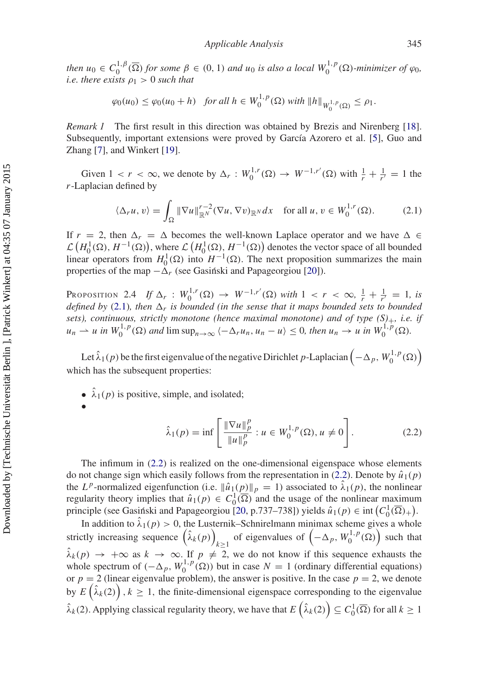*then*  $u_0 \in C_0^{1,\beta}(\overline{\Omega})$  *for some*  $\beta \in (0, 1)$  *and*  $u_0$  *is also a local*  $W_0^{1,p}(\Omega)$ *-minimizer of*  $\varphi_0$ *, i.e. there exists*  $\rho_1 > 0$  *such that* 

$$
\varphi_0(u_0) \le \varphi_0(u_0 + h) \quad \text{for all } h \in W_0^{1,p}(\Omega) \text{ with } ||h||_{W_0^{1,p}(\Omega)} \le \rho_1.
$$

*Remark 1* The first result in this direction was obtained by Brezis and Nirenberg [\[18\]](#page-18-8). Subsequently, important extensions were proved by García Azorero et al. [\[5](#page-17-4)], Guo and Zhang [\[7](#page-17-6)], and Winkert [\[19](#page-18-9)].

Given  $1 < r < \infty$ , we denote by  $\Delta_r : W_0^{1,r}(\Omega) \to W^{-1,r'}(\Omega)$  with  $\frac{1}{r} + \frac{1}{r'} = 1$  the *r*-Laplacian defined by

<span id="page-3-0"></span>
$$
\langle \Delta_r u, v \rangle = \int_{\Omega} \|\nabla u\|_{\mathbb{R}^N}^{r-2} (\nabla u, \nabla v)_{\mathbb{R}^N} dx \quad \text{for all } u, v \in W_0^{1,r}(\Omega). \tag{2.1}
$$

If  $r = 2$ , then  $\Delta_r = \Delta$  becomes the well-known Laplace operator and we have  $\Delta \in$  $\mathcal{L}(H_0^1(\Omega), H^{-1}(\Omega))$ , where  $\mathcal{L}(H_0^1(\Omega), H^{-1}(\Omega))$  denotes the vector space of all bounded linear operators from  $H_0^1(\Omega)$  into  $H^{-1}(\Omega)$ . The next proposition summarizes the main properties of the map  $-\Delta_r$  (see Gasinski and Papageorgiou [[20\]](#page-18-10)).

<span id="page-3-2"></span>Proposition 2.4 *If*  $\Delta_r : W_0^{1,r}(\Omega) \to W^{-1,r'}(\Omega)$  *with*  $1 < r < \infty$ ,  $\frac{1}{r} + \frac{1}{r'} = 1$ , is *defined by* [\(2.1\)](#page-3-0)*, then*  $\Delta_r$  *is bounded (in the sense that it maps bounded sets to bounded sets), continuous, strictly monotone (hence maximal monotone) and of type (S)*+*, i.e. if*  $u_n \rightharpoonup u$  *in*  $W_0^{1,p}(\Omega)$  *and*  $\limsup_{n\to\infty} \langle -\Delta_r u_n, u_n - u \rangle \leq 0$ *, then*  $u_n \to u$  *in*  $W_0^{1,p}(\Omega)$ *.* 

Let  $\hat{\lambda}_1(p)$  be the first eigenvalue of the negative Dirichlet *p*-Laplacian  $\left(-\Delta_p, W_0^{1,p}(\Omega)\right)$ which has the subsequent properties:

•  $\hat{\lambda}_1(p)$  is positive, simple, and isolated;



<span id="page-3-1"></span>
$$
\hat{\lambda}_1(p) = \inf \left[ \frac{\|\nabla u\|_p^p}{\|u\|_p^p} : u \in W_0^{1,p}(\Omega), u \neq 0 \right].
$$
 (2.2)

The infimum in [\(2.2\)](#page-3-1) is realized on the one-dimensional eigenspace whose elements do not change sign which easily follows from the representation in [\(2.2\)](#page-3-1). Denote by  $\hat{u}_1(p)$ the *LP*-normalized eigenfunction (i.e.  $\|\hat{u}_1(p)\|_p = 1$ ) associated to  $\hat{\lambda}_1(p)$ , the nonlinear regularity theory implies that  $\hat{u}_1(p) \in C_0^1(\overline{\Omega})$  and the usage of the nonlinear maximum principle (see Gasinski and Papageorgiou [[20,](#page-18-10) p.737–738]) yields  $\hat{u}_1(p) \in \text{int}\left(C_0^1(\overline{\Omega})_+\right)$ .

In addition to  $\hat{\lambda}_1(p) > 0$ , the Lusternik–Schnirelmann minimax scheme gives a whole strictly increasing sequence  $(\hat{\lambda}_k(p))_{k \geq 1}$  of eigenvalues of  $(-\Delta_p, W_0^{1,p}(\Omega))$  such that  $\hat{\lambda}_k(p) \rightarrow +\infty$  as  $k \rightarrow \infty$ . If  $p \neq 2$ , we do not know if this sequence exhausts the whole spectrum of  $(-\Delta_p, W_0^{1,p}(\Omega))$  but in case  $N = 1$  (ordinary differential equations) or  $p = 2$  (linear eigenvalue problem), the answer is positive. In the case  $p = 2$ , we denote by  $E(\hat{\lambda}_k(2))$ ,  $k \ge 1$ , the finite-dimensional eigenspace corresponding to the eigenvalue  $\hat{\lambda}_k(2)$ . Applying classical regularity theory, we have that  $E\left(\hat{\lambda}_k(2)\right) \subseteq C_0^1(\overline{\Omega})$  for all  $k \geq 1$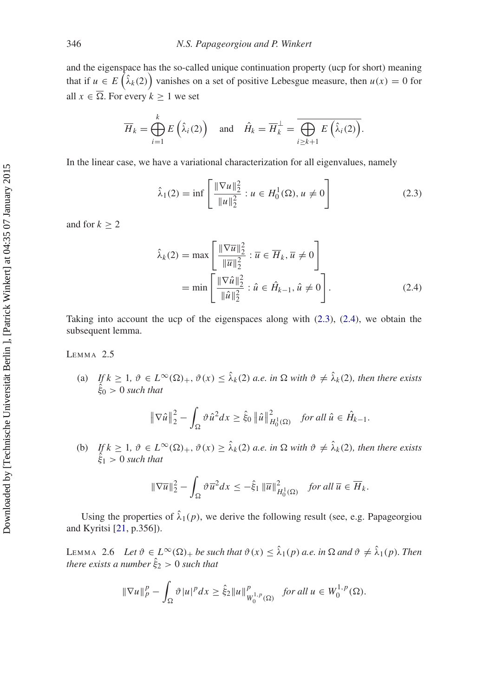and the eigenspace has the so-called unique continuation property (ucp for short) meaning that if  $u \in E\left(\hat{\lambda}_k(2)\right)$  vanishes on a set of positive Lebesgue measure, then  $u(x) = 0$  for all  $x \in \overline{\Omega}$ . For every  $k \ge 1$  we set

$$
\overline{H}_k = \bigoplus_{i=1}^k E\left(\hat{\lambda}_i(2)\right) \quad \text{and} \quad \hat{H}_k = \overline{H}_k^{\perp} = \overline{\bigoplus_{i \ge k+1} E\left(\hat{\lambda}_i(2)\right)}.
$$

In the linear case, we have a variational characterization for all eigenvalues, namely

<span id="page-4-0"></span>
$$
\hat{\lambda}_1(2) = \inf \left[ \frac{\|\nabla u\|_2^2}{\|u\|_2^2} : u \in H_0^1(\Omega), u \neq 0 \right] \tag{2.3}
$$

and for  $k \geq 2$ 

<span id="page-4-1"></span>
$$
\hat{\lambda}_{k}(2) = \max\left[\frac{\|\nabla \overline{u}\|_{2}^{2}}{\|\overline{u}\|_{2}^{2}} : \overline{u} \in \overline{H}_{k}, \overline{u} \neq 0\right]
$$

$$
= \min\left[\frac{\|\nabla \hat{u}\|_{2}^{2}}{\|\hat{u}\|_{2}^{2}} : \hat{u} \in \hat{H}_{k-1}, \hat{u} \neq 0\right].
$$
\n(2.4)

<span id="page-4-3"></span>Taking into account the ucp of the eigenspaces along with [\(2.3\)](#page-4-0), [\(2.4\)](#page-4-1), we obtain the subsequent lemma.

# LEMMA<sub>2.5</sub>

(a) If  $k \geq 1$ ,  $\vartheta \in L^{\infty}(\Omega)_{+}$ ,  $\vartheta(x) \leq \hat{\lambda}_{k}(2)$  *a.e. in*  $\Omega$  with  $\vartheta \neq \hat{\lambda}_{k}(2)$ , then there exists  $\dot{\hat{\xi}}_0 > 0$  such that

$$
\|\nabla \hat{u}\|_2^2 - \int_{\Omega} \vartheta \hat{u}^2 dx \ge \hat{\xi}_0 \left\|\hat{u}\right\|_{H_0^1(\Omega)}^2 \quad \text{for all } \hat{u} \in \hat{H}_{k-1}.
$$

(b) If  $k \geq 1$ ,  $\vartheta \in L^{\infty}(\Omega)_{+}$ ,  $\vartheta(x) \geq \hat{\lambda}_{k}(2)$  *a.e. in*  $\Omega$  with  $\vartheta \neq \hat{\lambda}_{k}(2)$ , then there exists  $\dot{\hat{\xi}}_1 > 0$  such that

<span id="page-4-2"></span>
$$
\|\nabla \overline{u}\|_2^2 - \int_{\Omega} \vartheta \overline{u}^2 dx \leq -\hat{\xi}_1 \|\overline{u}\|_{H_0^1(\Omega)}^2 \quad \text{for all } \overline{u} \in \overline{H}_k.
$$

Using the properties of  $\hat{\lambda}_1(p)$ , we derive the following result (see, e.g. Papageorgiou and Kyritsi [\[21](#page-18-11), p.356]).

LEMMA 2.6 Let  $\vartheta \in L^{\infty}(\Omega)$  + *be such that*  $\vartheta(x) \leq \hat{\lambda}_1(p)$  *a.e. in*  $\Omega$  *and*  $\vartheta \neq \hat{\lambda}_1(p)$ *. Then there exists a number*  $\hat{\xi}_2 > 0$  *such that* 

$$
\|\nabla u\|_p^p - \int_{\Omega} \vartheta |u|^p dx \ge \hat{\xi}_2 \|u\|_{W_0^{1,p}(\Omega)}^p \quad \text{for all } u \in W_0^{1,p}(\Omega).
$$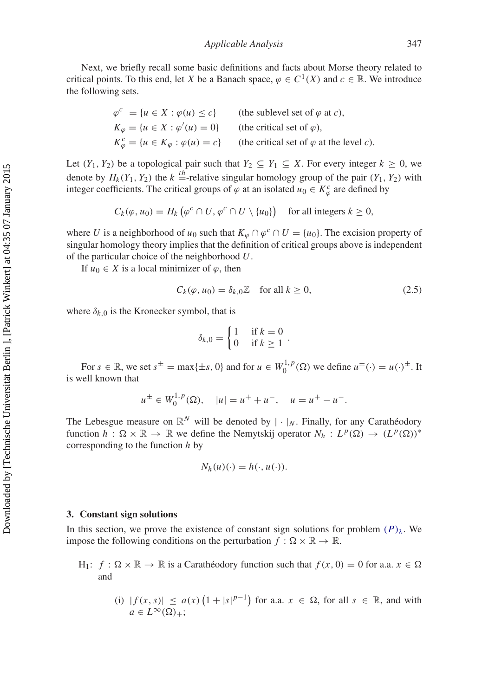Next, we briefly recall some basic definitions and facts about Morse theory related to critical points. To this end, let *X* be a Banach space,  $\varphi \in C^1(X)$  and  $c \in \mathbb{R}$ . We introduce the following sets.

| $\varphi^c = \{u \in X : \varphi(u) \leq c\}$              | (the sublevel set of $\varphi$ at c),           |
|------------------------------------------------------------|-------------------------------------------------|
| $K_{\varphi} = \{u \in X : \varphi'(u) = 0\}$              | (the critical set of $\varphi$ ).               |
| $K_{\varphi}^{c} = \{u \in K_{\varphi} : \varphi(u) = c\}$ | (the critical set of $\varphi$ at the level c). |

Let  $(Y_1, Y_2)$  be a topological pair such that  $Y_2 \subseteq Y_1 \subseteq X$ . For every integer  $k \ge 0$ , we denote by  $H_k(Y_1, Y_2)$  the  $k =$ -relative singular homology group of the pair  $(Y_1, Y_2)$  with integer coefficients. The critical groups of  $\varphi$  at an isolated  $u_0 \in K_{\varphi}^c$  are defined by

$$
C_k(\varphi, u_0) = H_k\left(\varphi^c \cap U, \varphi^c \cap U \setminus \{u_0\}\right) \quad \text{for all integers } k \ge 0,
$$

where *U* is a neighborhood of  $u_0$  such that  $K_\omega \cap \varphi^c \cap U = \{u_0\}$ . The excision property of singular homology theory implies that the definition of critical groups above is independent of the particular choice of the neighborhood *U*.

If  $u_0 \in X$  is a local minimizer of  $\varphi$ , then

<span id="page-5-0"></span>
$$
C_k(\varphi, u_0) = \delta_{k,0} \mathbb{Z} \quad \text{for all } k \ge 0,
$$
\n
$$
(2.5)
$$

where  $\delta_{k,0}$  is the Kronecker symbol, that is

$$
\delta_{k,0} = \begin{cases} 1 & \text{if } k = 0 \\ 0 & \text{if } k \ge 1 \end{cases}.
$$

For  $s \in \mathbb{R}$ , we set  $s^{\pm} = \max\{\pm s, 0\}$  and for  $u \in W_0^{1,p}(\Omega)$  we define  $u^{\pm}(\cdot) = u(\cdot)^{\pm}$ . It is well known that

$$
u^{\pm} \in W_0^{1,p}(\Omega)
$$
,  $|u| = u^+ + u^-$ ,  $u = u^+ - u^-$ .

The Lebesgue measure on  $\mathbb{R}^N$  will be denoted by  $|\cdot|_N$ . Finally, for any Carathéodory function  $h: \Omega \times \mathbb{R} \to \mathbb{R}$  we define the Nemytskij operator  $N_h: L^p(\Omega) \to (L^p(\Omega))^*$ corresponding to the function *h* by

$$
N_h(u)(\cdot) = h(\cdot, u(\cdot)).
$$

### **3. Constant sign solutions**

In this section, we prove the existence of constant sign solutions for problem  $(P)_{\lambda}$ . We impose the following conditions on the perturbation  $f : \Omega \times \mathbb{R} \to \mathbb{R}$ .

 $H_1$ :  $f : \Omega \times \mathbb{R} \to \mathbb{R}$  is a Carathéodory function such that  $f(x, 0) = 0$  for a.a.  $x \in \Omega$ and

(i) 
$$
|f(x, s)| \le a(x) \left(1 + |s|^{p-1}\right)
$$
 for a.a.  $x \in \Omega$ , for all  $s \in \mathbb{R}$ , and with  $a \in L^{\infty}(\Omega)_{+}$ ;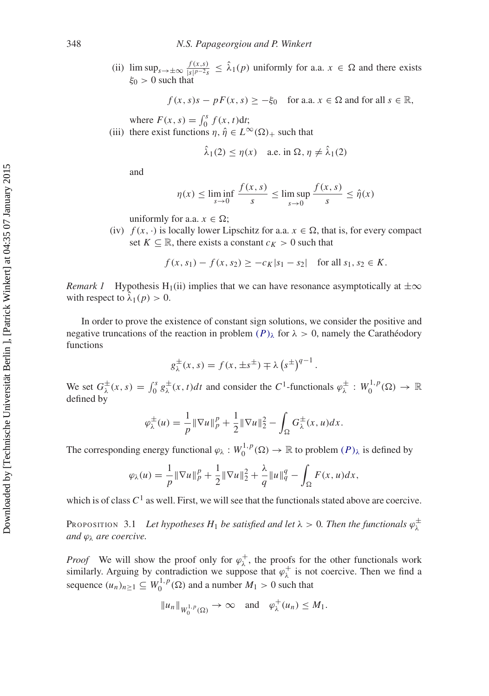(ii)  $\limsup_{s \to \pm \infty} \frac{f(x,s)}{|s|^{p-2}s} \leq \lambda_1(p)$  uniformly for a.a.  $x \in \Omega$  and there exists  $\xi_0 > 0$  such that

$$
f(x, s)s - pF(x, s) \ge -\xi_0
$$
 for a.a.  $x \in \Omega$  and for all  $s \in \mathbb{R}$ ,

where  $F(x, s) = \int_0^s f(x, t) dt$ ;

(iii) there exist functions  $\eta$ ,  $\hat{\eta} \in L^{\infty}(\Omega)_{+}$  such that

$$
\hat{\lambda}_1(2) \le \eta(x)
$$
 a.e. in  $\Omega$ ,  $\eta \ne \hat{\lambda}_1(2)$ 

and

$$
\eta(x) \le \liminf_{s \to 0} \frac{f(x, s)}{s} \le \limsup_{s \to 0} \frac{f(x, s)}{s} \le \hat{\eta}(x)
$$

uniformly for a.a.  $x \in \Omega$ ;

(iv)  $f(x, \cdot)$  is locally lower Lipschitz for a.a.  $x \in \Omega$ , that is, for every compact set  $K \subseteq \mathbb{R}$ , there exists a constant  $c_K > 0$  such that

$$
f(x, s_1) - f(x, s_2) \ge -c_K |s_1 - s_2|
$$
 for all  $s_1, s_2 \in K$ .

*Remark 1* Hypothesis H<sub>1</sub>(ii) implies that we can have resonance asymptotically at  $\pm \infty$ with respect to  $\lambda_1(p) > 0$ .

In order to prove the existence of constant sign solutions, we consider the positive and negative truncations of the reaction in problem  $(P)_{\lambda}$  for  $\lambda > 0$ , namely the Carathéodory functions

$$
g_{\lambda}^{\pm}(x,s) = f(x, \pm s^{\pm}) \mp \lambda (s^{\pm})^{q-1}.
$$

We set  $G^{\pm}_{\lambda}(x, s) = \int_0^s g^{\pm}_{\lambda}(x, t) dt$  and consider the  $C^1$ -functionals  $\varphi^{\pm}_{\lambda}: W_0^{1, p}(\Omega) \to \mathbb{R}$ defined by

$$
\varphi_{\lambda}^{\pm}(u) = \frac{1}{p} \|\nabla u\|_{p}^{p} + \frac{1}{2} \|\nabla u\|_{2}^{2} - \int_{\Omega} G_{\lambda}^{\pm}(x, u) dx.
$$

The corresponding energy functional  $\varphi_\lambda: W_0^{1,p}(\Omega) \to \mathbb{R}$  to problem  $(P)_\lambda$  is defined by

$$
\varphi_{\lambda}(u) = \frac{1}{p} \|\nabla u\|_{p}^{p} + \frac{1}{2} \|\nabla u\|_{2}^{2} + \frac{\lambda}{q} \|u\|_{q}^{q} - \int_{\Omega} F(x, u) dx,
$$

<span id="page-6-0"></span>which is of class  $C^1$  as well. First, we will see that the functionals stated above are coercive.

Proposition 3.1 *Let hypotheses*  $H_1$  *be satisfied and let*  $\lambda > 0$ *. Then the functionals*  $\varphi^{\pm}_{\lambda}$ *and* ϕλ *are coercive.*

*Proof* We will show the proof only for  $\varphi_{\lambda}^{+}$ , the proofs for the other functionals work similarly. Arguing by contradiction we suppose that  $\varphi_{\lambda}^{+}$  is not coercive. Then we find a sequence  $(u_n)_{n\geq 1} \subseteq W_0^{1,p}(\Omega)$  and a number  $M_1 > 0$  such that

$$
||u_n||_{W_0^{1,p}(\Omega)} \to \infty \quad \text{and} \quad \varphi_\lambda^+(u_n) \le M_1.
$$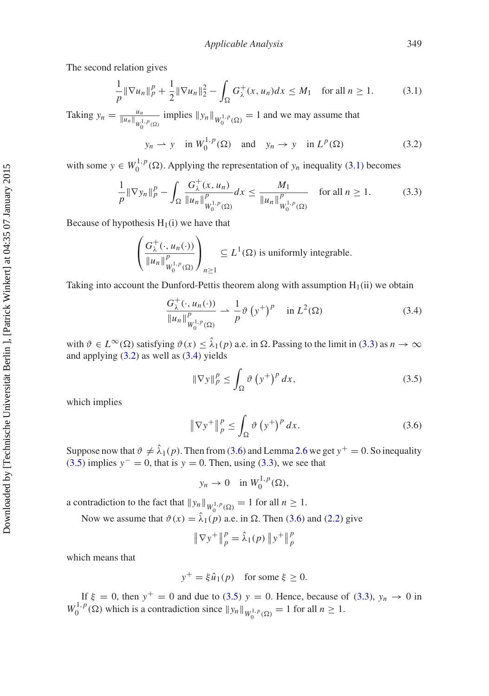The second relation gives

<span id="page-7-0"></span>
$$
\frac{1}{p} \|\nabla u_n\|_p^p + \frac{1}{2} \|\nabla u_n\|_2^2 - \int_{\Omega} G_{\lambda}^+(x, u_n) dx \le M_1 \quad \text{for all } n \ge 1.
$$
 (3.1)

Taking  $y_n = \frac{u_n}{\|u_n\|_{W_0^{1,p}(\Omega)}}$  implies  $\|y_n\|_{W_0^{1,p}(\Omega)} = 1$  and we may assume that

<span id="page-7-2"></span>
$$
y_n \to y
$$
 in  $W_0^{1,p}(\Omega)$  and  $y_n \to y$  in  $L^p(\Omega)$  (3.2)

with some  $y \in W_0^{1,p}(\Omega)$ . Applying the representation of  $y_n$  inequality [\(3.1\)](#page-7-0) becomes

<span id="page-7-1"></span>
$$
\frac{1}{p} \|\nabla y_n\|_p^p - \int_{\Omega} \frac{G_{\lambda}^+(x, u_n)}{\|u_n\|_{W_0^{1,p}(\Omega)}^p} dx \le \frac{M_1}{\|u_n\|_{W_0^{1,p}(\Omega)}^p} \quad \text{for all } n \ge 1.
$$
 (3.3)

Because of hypothesis  $H_1(i)$  we have that

$$
\left(\frac{G_{\lambda}^{+}(\cdot, u_n(\cdot))}{\|u_n\|_{W_0^{1,p}(\Omega)}^p}\right)_{n\geq 1} \subseteq L^1(\Omega) \text{ is uniformly integrable.}
$$

Taking into account the Dunford-Pettis theorem along with assumption  $H_1(i)$  we obtain

<span id="page-7-3"></span>
$$
\frac{G_{\lambda}^{+}(\cdot, u_{n}(\cdot))}{\|u_{n}\|_{W_{0}^{1,p}(\Omega)}^{p}} \rightharpoonup \frac{1}{p} \vartheta\left(y^{+}\right)^{p} \quad \text{in } L^{2}(\Omega) \tag{3.4}
$$

with  $\vartheta \in L^{\infty}(\Omega)$  satisfying  $\vartheta(x) \leq \hat{\lambda}_1(p)$  a.e. in  $\Omega$ . Passing to the limit in [\(3.3\)](#page-7-1) as  $n \to \infty$ and applying [\(3.2\)](#page-7-2) as well as [\(3.4\)](#page-7-3) yields

<span id="page-7-5"></span>
$$
\|\nabla y\|_p^p \le \int_{\Omega} \vartheta \left(y^+\right)^p dx,\tag{3.5}
$$

which implies

<span id="page-7-4"></span>
$$
\|\nabla y^+\|_p^p \le \int_{\Omega} \vartheta \left(y^+\right)^p dx. \tag{3.6}
$$

Suppose now that  $\vartheta \neq \hat{\lambda}_1(p)$ . Then from [\(3.6\)](#page-7-4) and Lemma [2.6](#page-4-2) we get  $y^+=0$ . So inequality [\(3.5\)](#page-7-5) implies  $y<sup>-</sup> = 0$ , that is  $y = 0$ . Then, using [\(3.3\)](#page-7-1), we see that

$$
y_n \to 0 \quad \text{in } W_0^{1,p}(\Omega),
$$

a contradiction to the fact that  $||y_n||_{W_0^{1,p}(\Omega)} = 1$  for all  $n \ge 1$ .

Now we assume that  $\vartheta(x) = \hat{\lambda}_1(p)$  a.e. in  $\Omega$ . Then [\(3.6\)](#page-7-4) and [\(2.2\)](#page-3-1) give

$$
\|\nabla y^+\|_p^p = \hat{\lambda}_1(p) \|y^+\|_p^p
$$

which means that

$$
y^+ = \xi \hat{u}_1(p) \quad \text{for some } \xi \ge 0.
$$

If  $\xi = 0$ , then  $y^+ = 0$  and due to [\(3.5\)](#page-7-5)  $y = 0$ . Hence, because of [\(3.3\)](#page-7-1),  $y_n \to 0$  in  $W_0^{1,p}(\Omega)$  which is a contradiction since  $||y_n||_{W_0^{1,p}(\Omega)} = 1$  for all  $n \ge 1$ .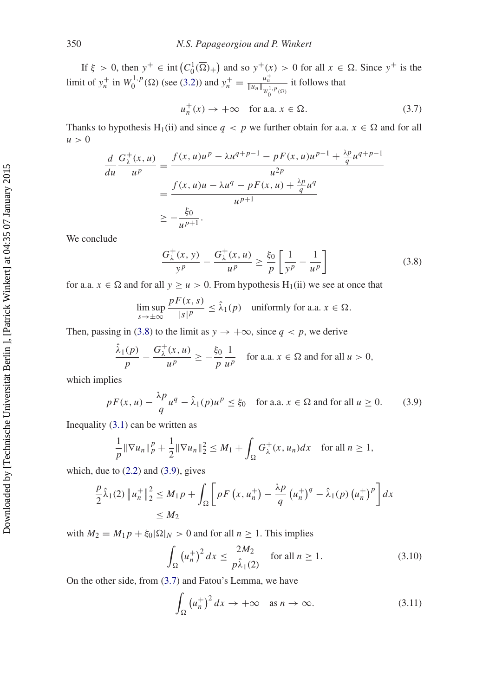If  $\xi > 0$ , then  $y^+ \in \text{int} (C_0^1(\overline{\Omega})_+)$  and so  $y^+(x) > 0$  for all  $x \in \Omega$ . Since  $y^+$  is the limit of  $y_n^+$  in  $W_0^{1,p}(\Omega)$  (see [\(3.2\)](#page-7-2)) and  $y_n^+ = \frac{u_n^+}{\|u_n\|_{W_0^{1,p}(\Omega)}}$  it follows that

<span id="page-8-2"></span>
$$
u_n^+(x) \to +\infty \quad \text{for a.a. } x \in \Omega. \tag{3.7}
$$

Thanks to hypothesis H<sub>1</sub>(ii) and since  $q < p$  we further obtain for a.a.  $x \in \Omega$  and for all  $u > 0$ 

$$
\frac{d}{du} \frac{G_{\lambda}^{+}(x, u)}{u^{p}} = \frac{f(x, u)u^{p} - \lambda u^{q+p-1} - pF(x, u)u^{p-1} + \frac{\lambda p}{q}u^{q+p-1}}{u^{2p}}
$$
\n
$$
= \frac{f(x, u)u - \lambda u^{q} - pF(x, u) + \frac{\lambda p}{q}u^{q}}{u^{p+1}}
$$
\n
$$
\geq -\frac{\xi_{0}}{u^{p+1}}.
$$

We conclude

<span id="page-8-0"></span>
$$
\frac{G_{\lambda}^{+}(x, y)}{y^{p}} - \frac{G_{\lambda}^{+}(x, u)}{u^{p}} \ge \frac{\xi_{0}}{p} \left[ \frac{1}{y^{p}} - \frac{1}{u^{p}} \right]
$$
(3.8)

for a.a.  $x \in \Omega$  and for all  $y \ge u > 0$ . From hypothesis H<sub>1</sub>(ii) we see at once that

$$
\limsup_{s \to \pm \infty} \frac{pF(x, s)}{|s|^p} \le \hat{\lambda}_1(p) \quad \text{uniformly for a.a. } x \in \Omega.
$$

Then, passing in [\(3.8\)](#page-8-0) to the limit as  $y \rightarrow +\infty$ , since  $q < p$ , we derive

$$
\frac{\hat{\lambda}_1(p)}{p} - \frac{G_{\lambda}^+(x, u)}{u^p} \ge -\frac{\xi_0}{p} \frac{1}{u^p} \quad \text{for a.a. } x \in \Omega \text{ and for all } u > 0,
$$

which implies

<span id="page-8-1"></span>
$$
pF(x, u) - \frac{\lambda p}{q}u^q - \hat{\lambda}_1(p)u^p \le \xi_0 \quad \text{for a.a. } x \in \Omega \text{ and for all } u \ge 0. \tag{3.9}
$$

Inequality [\(3.1\)](#page-7-0) can be written as

$$
\frac{1}{p} \|\nabla u_n\|_p^p + \frac{1}{2} \|\nabla u_n\|_2^2 \le M_1 + \int_{\Omega} G_{\lambda}^+(x, u_n) dx \quad \text{for all } n \ge 1,
$$

which, due to  $(2.2)$  and  $(3.9)$ , gives

$$
\frac{p}{2}\hat{\lambda}_1(2) \|u_n^+\|_2^2 \le M_1 p + \int_{\Omega} \left[ p F\left(x, u_n^+\right) - \frac{\lambda p}{q} \left(u_n^+\right)^q - \hat{\lambda}_1(p) \left(u_n^+\right)^p \right] dx
$$
  
\n
$$
\le M_2
$$

with  $M_2 = M_1 p + \xi_0 |\Omega|_N > 0$  and for all  $n \ge 1$ . This implies

<span id="page-8-3"></span>
$$
\int_{\Omega} \left(u_n^+\right)^2 dx \le \frac{2M_2}{p\hat{\lambda}_1(2)} \quad \text{for all } n \ge 1.
$$
\n(3.10)

On the other side, from [\(3.7\)](#page-8-2) and Fatou's Lemma, we have

<span id="page-8-4"></span>
$$
\int_{\Omega} \left( u_n^+ \right)^2 dx \to +\infty \quad \text{as } n \to \infty. \tag{3.11}
$$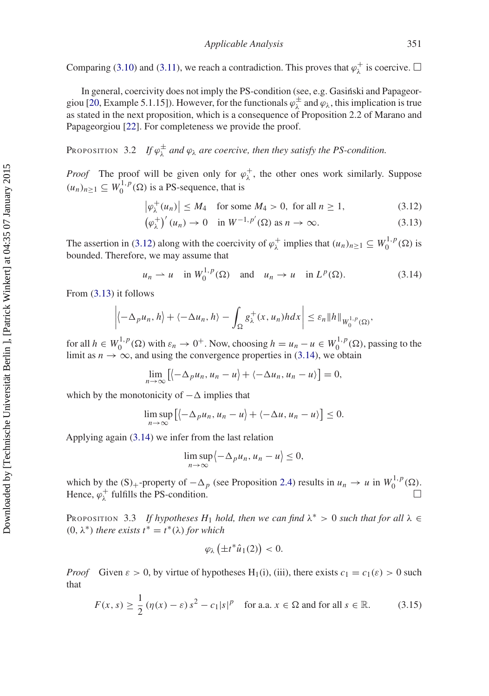Comparing [\(3.10\)](#page-8-3) and [\(3.11\)](#page-8-4), we reach a contradiction. This proves that  $\varphi_{\lambda}^{+}$  is coercive.  $\Box$ 

In general, coercivity does not imply the PS-condition (see, e.g. Gasinski and Papageor-giou [\[20](#page-18-10), Example 5.1.15]). However, for the functionals  $\varphi^{\pm}$  and  $\varphi_{\lambda}$ , this implication is true as stated in the next proposition, which is a consequence of Proposition 2.2 of Marano and Papageorgiou [\[22](#page-18-12)]. For completeness we provide the proof.

<span id="page-9-5"></span>PROPOSITION 3.2 If  $\varphi_{\lambda}^{\pm}$  *and*  $\varphi_{\lambda}$  *are coercive, then they satisfy the PS-condition.* 

*Proof* The proof will be given only for  $\varphi_{\lambda}^{+}$ , the other ones work similarly. Suppose  $(u_n)_{n \geq 1} \subseteq W_0^{1,p}(\Omega)$  is a PS-sequence, that is

<span id="page-9-0"></span>
$$
\left|\varphi_{\lambda}^{+}(u_{n})\right| \leq M_{4} \quad \text{for some } M_{4} > 0, \text{ for all } n \geq 1,
$$
 (3.12)

<span id="page-9-1"></span>
$$
\left(\varphi_{\lambda}^{+}\right)'(u_{n}) \to 0 \quad \text{in } W^{-1,p'}(\Omega) \text{ as } n \to \infty. \tag{3.13}
$$

The assertion in [\(3.12\)](#page-9-0) along with the coercivity of  $\varphi_{\lambda}^+$  implies that  $(u_n)_{n\geq 1} \subseteq W_0^{1,p}(\Omega)$  is bounded. Therefore, we may assume that

<span id="page-9-2"></span>
$$
u_n \rightharpoonup u
$$
 in  $W_0^{1,p}(\Omega)$  and  $u_n \rightharpoonup u$  in  $L^p(\Omega)$ . (3.14)

From [\(3.13\)](#page-9-1) it follows

$$
\left| \left\langle -\Delta_p u_n, h \right\rangle + \left\langle -\Delta u_n, h \right\rangle - \int_{\Omega} g_{\lambda}^+(x, u_n) h dx \right| \leq \varepsilon_n \|h\|_{W_0^{1,p}(\Omega)},
$$

for all  $h \in W_0^{1,p}(\Omega)$  with  $\varepsilon_n \to 0^+$ . Now, choosing  $h = u_n - u \in W_0^{1,p}(\Omega)$ , passing to the limit as  $n \to \infty$ , and using the convergence properties in [\(3.14\)](#page-9-2), we obtain

$$
\lim_{n\to\infty}\left[\left\langle -\Delta_p u_n, u_n-u\right\rangle+\left\langle -\Delta u_n, u_n-u\right\rangle\right]=0,
$$

which by the monotonicity of  $-\Delta$  implies that

$$
\limsup_{n\to\infty}\left[\left\langle -\Delta_p u_n, u_n-u\right\rangle+\left\langle -\Delta u, u_n-u\right\rangle\right]\leq 0.
$$

Applying again [\(3.14\)](#page-9-2) we infer from the last relation

$$
\limsup_{n\to\infty}\left\langle -\Delta_p u_n, u_n-u\right\rangle\leq 0,
$$

which by the  $(S)$ <sub>+</sub>-property of  $-\Delta_p$  (see Proposition [2.4\)](#page-3-2) results in  $u_n \to u$  in  $W_0^{1,p}(\Omega)$ . Hence,  $\varphi_{\lambda}^{+}$  fulfills the PS-condition.  $\Box$ 

<span id="page-9-4"></span>PROPOSITION 3.3 *If hypotheses H*<sub>1</sub> *hold, then we can find*  $\lambda^* > 0$  *such that for all*  $\lambda \in$ (0, λ∗) *there exists t*<sup>∗</sup> = *t*∗(λ) *for which*

$$
\varphi_{\lambda}\left(\pm t^{*}\hat{u}_{1}(2)\right) < 0.
$$

*Proof* Given  $\varepsilon > 0$ , by virtue of hypotheses H<sub>1</sub>(i), (iii), there exists  $c_1 = c_1(\varepsilon) > 0$  such that

<span id="page-9-3"></span>
$$
F(x,s) \ge \frac{1}{2} \left( \eta(x) - \varepsilon \right) s^2 - c_1 |s|^p \quad \text{for a.a. } x \in \Omega \text{ and for all } s \in \mathbb{R}.
$$
 (3.15)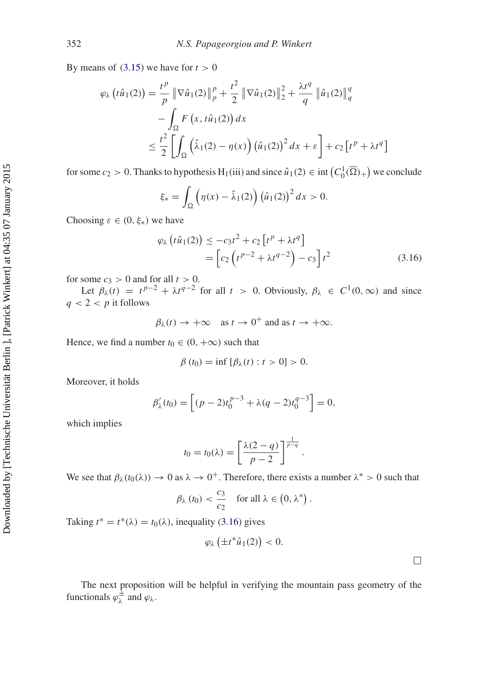By means of  $(3.15)$  we have for  $t > 0$ 

$$
\varphi_{\lambda} (t\hat{u}_1(2)) = \frac{t^p}{p} \|\nabla \hat{u}_1(2)\|_p^p + \frac{t^2}{2} \|\nabla \hat{u}_1(2)\|_2^2 + \frac{\lambda t^q}{q} \|\hat{u}_1(2)\|_q^q
$$
  

$$
- \int_{\Omega} F(x, t\hat{u}_1(2)) dx
$$
  

$$
\leq \frac{t^2}{2} \left[ \int_{\Omega} (\hat{\lambda}_1(2) - \eta(x)) (\hat{u}_1(2))^2 dx + \varepsilon \right] + c_2 \left[ t^p + \lambda t^q \right]
$$

for some  $c_2 > 0$ . Thanks to hypothesis  $H_1(iii)$  and since  $\hat{u}_1(2) \in \text{int}\left(C_0^1(\overline{\Omega})_+\right)$  we conclude

$$
\xi_* = \int_{\Omega} \left( \eta(x) - \hat{\lambda}_1(2) \right) \left( \hat{u}_1(2) \right)^2 dx > 0.
$$

Choosing  $\varepsilon \in (0, \xi_*)$  we have

<span id="page-10-0"></span>
$$
\varphi_{\lambda}\left(t\hat{u}_{1}(2)\right) \leq -c_{3}t^{2} + c_{2}\left[t^{p} + \lambda t^{q}\right] \n= \left[c_{2}\left(t^{p-2} + \lambda t^{q-2}\right) - c_{3}\right]t^{2}
$$
\n(3.16)

.

for some  $c_3 > 0$  and for all  $t > 0$ .

Let  $\beta_{\lambda}(t) = t^{p-2} + \lambda t^{q-2}$  for all  $t > 0$ . Obviously,  $\beta_{\lambda} \in C^1(0,\infty)$  and since  $q < 2 < p$  it follows

$$
\beta_{\lambda}(t) \rightarrow +\infty \text{ as } t \rightarrow 0^+ \text{ and as } t \rightarrow +\infty.
$$

Hence, we find a number  $t_0 \in (0, +\infty)$  such that

$$
\beta(t_0) = \inf [\beta_\lambda(t) : t > 0] > 0.
$$

Moreover, it holds

$$
\beta'_{\lambda}(t_0) = \left[ (p-2)t_0^{p-3} + \lambda (q-2)t_0^{q-3} \right] = 0,
$$

which implies

$$
t_0 = t_0(\lambda) = \left[\frac{\lambda(2-q)}{p-2}\right]^{\frac{1}{p-q}}
$$

We see that  $\beta_{\lambda}(t_0(\lambda)) \to 0$  as  $\lambda \to 0^+$ . Therefore, there exists a number  $\lambda^* > 0$  such that

$$
\beta_{\lambda}(t_0) < \frac{c_3}{c_2}
$$
 for all  $\lambda \in (0, \lambda^*)$ .

Taking  $t^* = t^*(\lambda) = t_0(\lambda)$ , inequality [\(3.16\)](#page-10-0) gives

$$
\varphi_{\lambda}\left(\pm t^*\hat{u}_1(2)\right) < 0.
$$

 $\Box$ 

<span id="page-10-1"></span>The next proposition will be helpful in verifying the mountain pass geometry of the functionals  $\varphi_{\lambda}^{\pm}$  and  $\varphi_{\lambda}$ .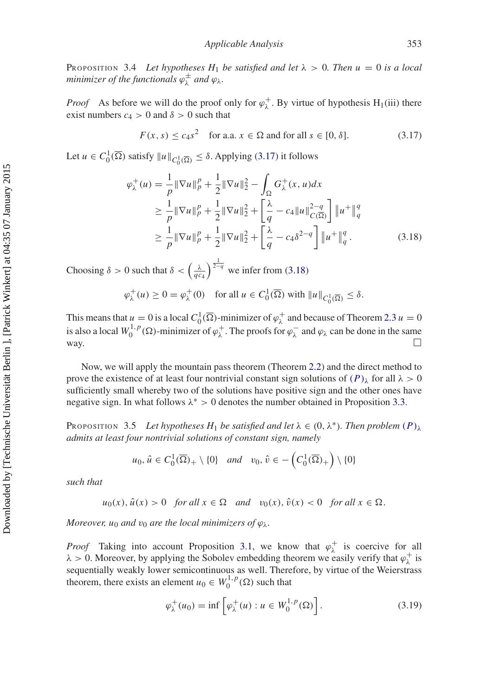PROPOSITION 3.4 Let hypotheses  $H_1$  be satisfied and let  $\lambda > 0$ . Then  $u = 0$  is a local minimizer of the functionals  $\varphi^{\pm}_{\lambda}$  and  $\varphi_{\lambda}$ .

*Proof* As before we will do the proof only for  $\varphi_{\lambda}^{+}$ . By virtue of hypothesis H<sub>1</sub>(iii) there exist numbers  $c_4 > 0$  and  $\delta > 0$  such that

<span id="page-11-0"></span>
$$
F(x, s) \le c_4 s^2 \quad \text{for a.a. } x \in \Omega \text{ and for all } s \in [0, \delta]. \tag{3.17}
$$

Let  $u \in C_0^1(\overline{\Omega})$  satisfy  $||u||_{C_0^1(\overline{\Omega})} \leq \delta$ . Applying [\(3.17\)](#page-11-0) it follows

<span id="page-11-1"></span>
$$
\varphi_{\lambda}^{+}(u) = \frac{1}{p} \|\nabla u\|_{p}^{p} + \frac{1}{2} \|\nabla u\|_{2}^{2} - \int_{\Omega} G_{\lambda}^{+}(x, u) dx
$$
  
\n
$$
\geq \frac{1}{p} \|\nabla u\|_{p}^{p} + \frac{1}{2} \|\nabla u\|_{2}^{2} + \left[\frac{\lambda}{q} - c_{4} \|u\|_{C(\overline{\Omega})}^{2-q}\right] \|u^{+}\|_{q}^{q}
$$
  
\n
$$
\geq \frac{1}{p} \|\nabla u\|_{p}^{p} + \frac{1}{2} \|\nabla u\|_{2}^{2} + \left[\frac{\lambda}{q} - c_{4} \delta^{2-q}\right] \|u^{+}\|_{q}^{q}. \tag{3.18}
$$

Choosing  $\delta > 0$  such that  $\delta < \left(\frac{\lambda}{q c_4}\right)^{\frac{1}{2-q}}$  we infer from [\(3.18\)](#page-11-1)

$$
\varphi_{\lambda}^{+}(u) \ge 0 = \varphi_{\lambda}^{+}(0) \quad \text{for all } u \in C_{0}^{1}(\overline{\Omega}) \text{ with } \|u\|_{C_{0}^{1}(\overline{\Omega})} \le \delta.
$$

This means that  $u = 0$  is a local  $C_0^1(\overline{\Omega})$ -minimizer of  $\varphi_\lambda^+$  and because of Theorem [2.3](#page-2-0)  $u = 0$ is also a local  $W_0^{1,p}(\Omega)$ -minimizer of  $\varphi_\lambda^+$ . The proofs for  $\varphi_\lambda^-$  and  $\varphi_\lambda$  can be done in the same way.  $\Box$  $\Box$ 

Now, we will apply the mountain pass theorem (Theorem [2.2\)](#page-1-1) and the direct method to prove the existence of at least four nontrivial constant sign solutions of  $(P)_{\lambda}$  for all  $\lambda > 0$ sufficiently small whereby two of the solutions have positive sign and the other ones have negative sign. In what follows  $\lambda^* > 0$  denotes the number obtained in Proposition [3.3.](#page-9-4)

<span id="page-11-3"></span>PROPOSITION 3.5 Let hypotheses  $H_1$  be satisfied and let  $\lambda \in (0, \lambda^*)$ . Then problem  $(P)_{\lambda}$ *admits at least four nontrivial solutions of constant sign, namely*

$$
u_0, \hat{u} \in C_0^1(\overline{\Omega})_+ \setminus \{0\}
$$
 and  $v_0, \hat{v} \in -\left(C_0^1(\overline{\Omega})_+\right) \setminus \{0\}$ 

*such that*

$$
u_0(x)
$$
,  $\hat{u}(x) > 0$  for all  $x \in \Omega$  and  $v_0(x)$ ,  $\hat{v}(x) < 0$  for all  $x \in \Omega$ .

*Moreover, u*<sub>0</sub> *and*  $v_0$  *are the local minimizers of*  $\varphi_{\lambda}$ *.* 

*Proof* Taking into account Proposition [3.1,](#page-6-0) we know that  $\varphi_{\lambda}^{+}$  is coercive for all  $\lambda > 0$ . Moreover, by applying the Sobolev embedding theorem we easily verify that  $\varphi_{\lambda}^{+}$  is sequentially weakly lower semicontinuous as well. Therefore, by virtue of the Weierstrass theorem, there exists an element  $u_0 \in W_0^{1,p}(\Omega)$  such that

<span id="page-11-2"></span>
$$
\varphi_{\lambda}^{+}(u_0) = \inf \left[ \varphi_{\lambda}^{+}(u) : u \in W_0^{1,p}(\Omega) \right]. \tag{3.19}
$$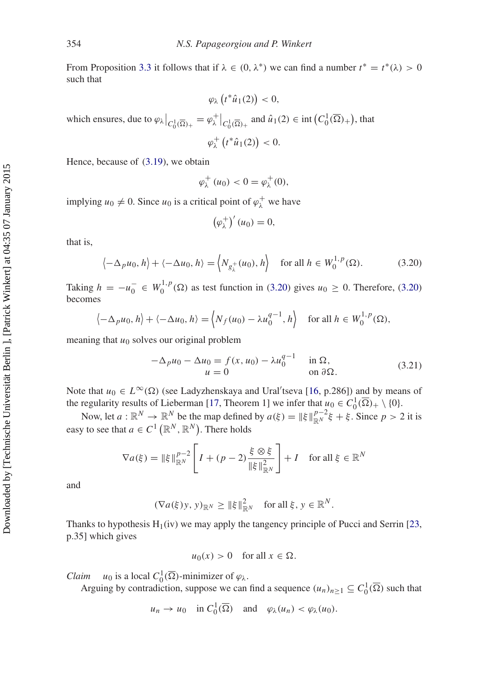From Proposition [3.3](#page-9-4) it follows that if  $\lambda \in (0, \lambda^*)$  we can find a number  $t^* = t^*(\lambda) > 0$ such that

$$
\varphi_{\lambda}\left(t^*\hat{u}_1(2)\right) < 0,
$$

which ensures, due to  $\varphi_{\lambda}|_{C_0^1(\overline{\Omega})_+} = \varphi_{\lambda}^+|_{C_0^1(\overline{\Omega})_+}$  and  $\hat{u}_1(2) \in \text{int}\left(C_0^1(\overline{\Omega})_+\right)$ , that

$$
\varphi_{\lambda}^+\left(t^*\hat{u}_1(2)\right)<0.
$$

Hence, because of [\(3.19\)](#page-11-2), we obtain

$$
\varphi_{\lambda}^+(u_0) < 0 = \varphi_{\lambda}^+(0),
$$

implying  $u_0 \neq 0$ . Since  $u_0$  is a critical point of  $\varphi_\lambda^+$  we have

$$
\left(\varphi_{\lambda}^{+}\right)'(u_{0})=0,
$$

that is,

<span id="page-12-0"></span>
$$
\left\langle -\Delta_p u_0, h \right\rangle + \left\langle -\Delta u_0, h \right\rangle = \left\langle N_{g_\lambda^+}(u_0), h \right\rangle \quad \text{for all } h \in W_0^{1, p}(\Omega). \tag{3.20}
$$

Taking  $h = -u_0^- \in W_0^{1,p}(\Omega)$  as test function in [\(3.20\)](#page-12-0) gives  $u_0 \ge 0$ . Therefore, (3.20) becomes

$$
\langle -\Delta_p u_0, h \rangle + \langle -\Delta u_0, h \rangle = \langle N_f(u_0) - \lambda u_0^{q-1}, h \rangle
$$
 for all  $h \in W_0^{1,p}(\Omega)$ ,

meaning that  $u_0$  solves our original problem

$$
-\Delta_p u_0 - \Delta u_0 = f(x, u_0) - \lambda u_0^{q-1} \quad \text{in } \Omega,
$$
  
 
$$
u = 0 \qquad \text{on } \partial\Omega.
$$
 (3.21)

Note that  $u_0 \in L^{\infty}(\Omega)$  (see Ladyzhenskaya and Ural'tseva [\[16,](#page-18-6) p.286]) and by means of the regularity results of Lieberman [\[17](#page-18-7), Theorem 1] we infer that  $u_0 \in C_0^1(\overline{\Omega})_+ \setminus \{0\}.$ 

Now, let  $a : \mathbb{R}^N \to \mathbb{R}^N$  be the map defined by  $a(\xi) = ||\xi||_{\mathbb{R}^N}^{p-2} \xi + \xi$ . Since  $p > 2$  it is easy to see that  $a \in C^1(\mathbb{R}^N, \mathbb{R}^N)$ . There holds

$$
\nabla a(\xi) = \|\xi\|_{\mathbb{R}^N}^{p-2} \left[ I + (p-2) \frac{\xi \otimes \xi}{\|\xi\|_{\mathbb{R}^N}^2} \right] + I \quad \text{for all } \xi \in \mathbb{R}^N
$$

and

$$
(\nabla a(\xi)y, y)_{\mathbb{R}^N} \ge ||\xi||_{\mathbb{R}^N}^2 \quad \text{for all } \xi, y \in \mathbb{R}^N.
$$

Thanks to hypothesis  $H_1(iv)$  we may apply the tangency principle of Pucci and Serrin [\[23](#page-18-13), p.35] which gives

$$
u_0(x) > 0
$$
 for all  $x \in \Omega$ .

*Claim*  $u_0$  is a local  $C_0^1(\overline{\Omega})$ -minimizer of  $\varphi_\lambda$ .

Arguing by contradiction, suppose we can find a sequence  $(u_n)_{n \geq 1} \subseteq C_0^1(\overline{\Omega})$  such that

$$
u_n \to u_0
$$
 in  $C_0^1(\overline{\Omega})$  and  $\varphi_\lambda(u_n) < \varphi_\lambda(u_0)$ .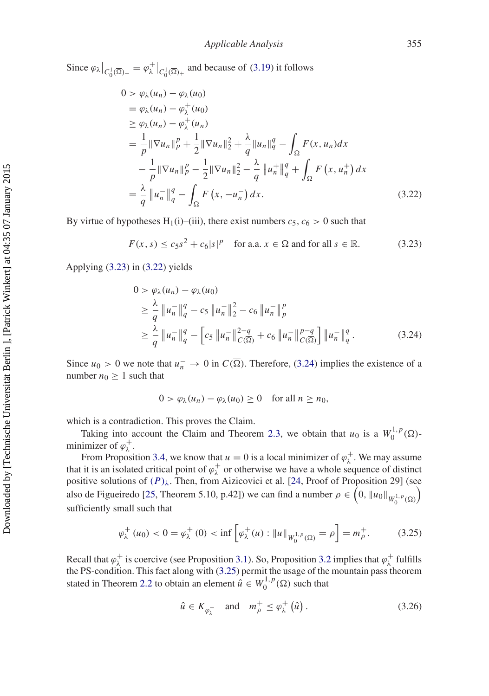Since  $\varphi_{\lambda}|_{C_0^1(\overline{\Omega})_+} = \varphi_{\lambda}^+|_{C_0^1(\overline{\Omega})_+}$  and because of [\(3.19\)](#page-11-2) it follows

$$
0 > \varphi_{\lambda}(u_{n}) - \varphi_{\lambda}(u_{0})
$$
  
\n
$$
= \varphi_{\lambda}(u_{n}) - \varphi_{\lambda}^{+}(u_{0})
$$
  
\n
$$
\geq \varphi_{\lambda}(u_{n}) - \varphi_{\lambda}^{+}(u_{n})
$$
  
\n
$$
= \frac{1}{p} \|\nabla u_{n}\|_{p}^{p} + \frac{1}{2} \|\nabla u_{n}\|_{2}^{2} + \frac{\lambda}{q} \|u_{n}\|_{q}^{q} - \int_{\Omega} F(x, u_{n}) dx
$$
  
\n
$$
- \frac{1}{p} \|\nabla u_{n}\|_{p}^{p} - \frac{1}{2} \|\nabla u_{n}\|_{2}^{2} - \frac{\lambda}{q} \|u_{n}^{+}\|_{q}^{q} + \int_{\Omega} F(x, u_{n}^{+}) dx
$$
  
\n
$$
= \frac{\lambda}{q} \|u_{n}^{-}\|_{q}^{q} - \int_{\Omega} F(x, -u_{n}^{-}) dx.
$$
\n(3.22)

By virtue of hypotheses H<sub>1</sub>(i)–(iii), there exist numbers  $c_5$ ,  $c_6 > 0$  such that

<span id="page-13-1"></span><span id="page-13-0"></span>
$$
F(x, s) \le c_5 s^2 + c_6 |s|^p \quad \text{for a.a. } x \in \Omega \text{ and for all } s \in \mathbb{R}.
$$
 (3.23)

Applying [\(3.23\)](#page-13-0) in [\(3.22\)](#page-13-1) yields

<span id="page-13-2"></span>
$$
0 > \varphi_{\lambda}(u_n) - \varphi_{\lambda}(u_0)
$$
  
\n
$$
\geq \frac{\lambda}{q} \|u_n^-\|_q^q - c_5 \|u_n^-\|_2^2 - c_6 \|u_n^-\|_p^p
$$
  
\n
$$
\geq \frac{\lambda}{q} \|u_n^-\|_q^q - \left[c_5 \|u_n^-\|_{C(\overline{\Omega})}^{2-q} + c_6 \|u_n^-\|_{C(\overline{\Omega})}^{p-q}\right] \|u_n^-\|_q^q.
$$
\n(3.24)

Since  $u_0 > 0$  we note that  $u_n^- \to 0$  in  $C(\overline{\Omega})$ . Therefore, [\(3.24\)](#page-13-2) implies the existence of a number  $n_0 \geq 1$  such that

$$
0 > \varphi_{\lambda}(u_n) - \varphi_{\lambda}(u_0) \ge 0 \quad \text{for all } n \ge n_0,
$$

which is a contradiction. This proves the Claim.

Taking into account the Claim and Theorem [2.3,](#page-2-0) we obtain that  $u_0$  is a  $W_0^{1,p}(\Omega)$ minimizer of  $\varphi_{\lambda}^{+}$ .

From Proposition [3.4,](#page-10-1) we know that  $u = 0$  is a local minimizer of  $\varphi_{\lambda}^{+}$ . We may assume that it is an isolated critical point of  $\varphi_{\lambda}^{+}$  or otherwise we have a whole sequence of distinct positive solutions of  $(P)_{\lambda}$ . Then, from Aizicovici et al. [\[24,](#page-18-14) Proof of Proposition 29] (see also de Figueiredo [\[25,](#page-18-15) Theorem 5.10, p.42]) we can find a number  $\rho \in (0, ||u_0||_{W_0^{1,p}(\Omega)})$ sufficiently small such that

<span id="page-13-3"></span>
$$
\varphi_{\lambda}^{+}(u_0) < 0 = \varphi_{\lambda}^{+}(0) < \inf \left[ \varphi_{\lambda}^{+}(u) : \|u\|_{W_0^{1,p}(\Omega)} = \rho \right] = m_{\rho}^{+}.\tag{3.25}
$$

Recall that  $\varphi_\lambda^+$  is coercive (see Proposition [3.1\)](#page-6-0). So, Proposition [3.2](#page-9-5) implies that  $\varphi_\lambda^+$  fulfills the PS-condition. This fact along with [\(3.25\)](#page-13-3) permit the usage of the mountain pass theorem stated in Theorem [2.2](#page-1-1) to obtain an element  $\hat{u} \in W_0^{1,p}(\Omega)$  such that

<span id="page-13-4"></span>
$$
\hat{u} \in K_{\varphi_{\lambda}^{+}} \quad \text{and} \quad m_{\rho}^{+} \leq \varphi_{\lambda}^{+}(\hat{u}). \tag{3.26}
$$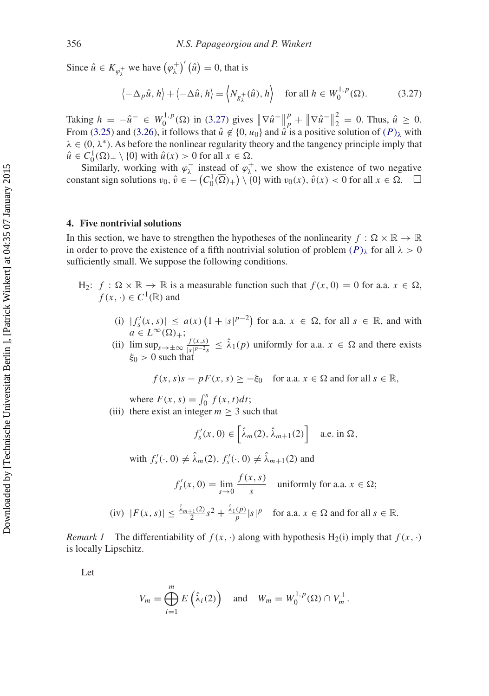Since  $\hat{u} \in K_{\varphi_{\lambda}^{+}}$  we have  $(\varphi_{\lambda}^{+})'(\hat{u}) = 0$ , that is

<span id="page-14-0"></span>
$$
\left\langle -\Delta_p \hat{u}, h \right\rangle + \left\langle -\Delta \hat{u}, h \right\rangle = \left\langle N_{g_\lambda^+}(\hat{u}), h \right\rangle \quad \text{for all } h \in W_0^{1, p}(\Omega). \tag{3.27}
$$

Taking  $h = -\hat{u}^- \in W_0^{1,p}(\Omega)$  in [\(3.27\)](#page-14-0) gives  $\|\nabla \hat{u}^-\|$  $P_{p}^{p} + \|\nabla \hat{u}^{-}\|$  $\frac{2}{2} = 0$ . Thus,  $\hat{u} \ge 0$ . From [\(3.25\)](#page-13-3) and [\(3.26\)](#page-13-4), it follows that  $\hat{u} \notin \{0, u_0\}$  and  $\hat{u}$  is a positive solution of  $(P)_{\lambda}$  with  $\lambda \in (0, \lambda^*)$ . As before the nonlinear regularity theory and the tangency principle imply that  $\hat{u} \in C_0^1(\overline{\Omega})_+ \setminus \{0\}$  with  $\hat{u}(x) > 0$  for all  $x \in \Omega$ .

Similarly, working with  $\varphi_{\lambda}^-$  instead of  $\varphi_{\lambda}^+$ , we show the existence of two negative constant sign solutions  $v_0, \hat{v} \in -(C_0^1(\overline{\Omega})_+) \setminus \{0\}$  with  $v_0(x), \hat{v}(x) < 0$  for all  $x \in \Omega$ .  $\Box$ 

# **4. Five nontrivial solutions**

In this section, we have to strengthen the hypotheses of the nonlinearity  $f : \Omega \times \mathbb{R} \to \mathbb{R}$ in order to prove the existence of a fifth nontrivial solution of problem  $(P)$ <sub>λ</sub> for all  $\lambda > 0$ sufficiently small. We suppose the following conditions.

- $H_2$ :  $f : \Omega \times \mathbb{R} \to \mathbb{R}$  is a measurable function such that  $f(x, 0) = 0$  for a.a.  $x \in \Omega$ ,  $f(x, \cdot) \in C^1(\mathbb{R})$  and
	- (i)  $|f'_s(x, s)| \le a(x) \left(1 + |s|^{p-2}\right)$  for a.a.  $x \in \Omega$ , for all  $s \in \mathbb{R}$ , and with  $a \in L^{\infty}(\Omega)_{+};$
	- (ii)  $\limsup_{s \to \pm \infty} \frac{f(x,s)}{|s|^{p-2}s} \leq \lambda_1(p)$  uniformly for a.a.  $x \in \Omega$  and there exists  $\xi_0 > 0$  such that

$$
f(x, s)s - pF(x, s) \ge -\xi_0
$$
 for a.a.  $x \in \Omega$  and for all  $s \in \mathbb{R}$ ,

where  $F(x, s) = \int_0^s f(x, t) dt$ ;

(iii) there exist an integer  $m \geq 3$  such that

$$
f'_{s}(x, 0) \in \left[\hat{\lambda}_{m}(2), \hat{\lambda}_{m+1}(2)\right] \quad \text{a.e. in } \Omega,
$$

with  $f'_{s}(\cdot, 0) \neq \hat{\lambda}_{m}(2), f'_{s}(\cdot, 0) \neq \hat{\lambda}_{m+1}(2)$  and

$$
f'_{s}(x, 0) = \lim_{s \to 0} \frac{f(x, s)}{s}
$$
 uniformly for a.a.  $x \in \Omega$ ;

(iv) 
$$
|F(x, s)| \le \frac{\hat{\lambda}_{m+1}(2)}{2} s^2 + \frac{\hat{\lambda}_1(p)}{p} |s|^p
$$
 for a.a.  $x \in \Omega$  and for all  $s \in \mathbb{R}$ .

*Remark 1* The differentiability of  $f(x, \cdot)$  along with hypothesis H<sub>2</sub>(i) imply that  $f(x, \cdot)$ is locally Lipschitz.

Let

$$
V_m = \bigoplus_{i=1}^m E\left(\hat{\lambda}_i(2)\right) \quad \text{and} \quad W_m = W_0^{1,p}(\Omega) \cap V_m^{\perp}.
$$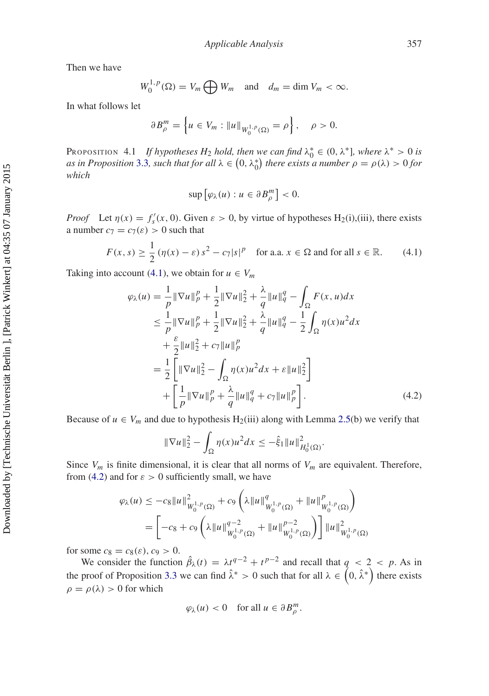Then we have

$$
W_0^{1,p}(\Omega) = V_m \bigoplus W_m \quad \text{and} \quad d_m = \dim V_m < \infty.
$$

In what follows let

$$
\partial B_{\rho}^{m} = \left\{ u \in V_m : \|u\|_{W_0^{1,p}(\Omega)} = \rho \right\}, \quad \rho > 0.
$$

<span id="page-15-2"></span>PROPOSITION 4.1 *If hypotheses H*<sub>2</sub> *hold, then we can find*  $\lambda_0^* \in (0, \lambda^*]$ *, where*  $\lambda^* > 0$  *is as in Proposition* [3.3](#page-9-4)*, such that for all*  $\lambda \in (0, \lambda_0^*)$  *there exists a number*  $\rho = \rho(\lambda) > 0$  *for which*

$$
\sup\left[\varphi_{\lambda}(u):u\in\partial B_{\rho}^{m}\right]<0.
$$

*Proof* Let  $\eta(x) = f'_s(x, 0)$ . Given  $\varepsilon > 0$ , by virtue of hypotheses H<sub>2</sub>(i),(iii), there exists a number  $c_7 = c_7(\varepsilon) > 0$  such that

<span id="page-15-0"></span>
$$
F(x, s) \ge \frac{1}{2} \left( \eta(x) - \varepsilon \right) s^2 - c_7 |s|^p \quad \text{for a.a. } x \in \Omega \text{ and for all } s \in \mathbb{R}.
$$
 (4.1)

Taking into account [\(4.1\)](#page-15-0), we obtain for  $u \in V_m$ 

$$
\varphi_{\lambda}(u) = \frac{1}{p} \|\nabla u\|_{p}^{p} + \frac{1}{2} \|\nabla u\|_{2}^{2} + \frac{\lambda}{q} \|u\|_{q}^{q} - \int_{\Omega} F(x, u) dx
$$
  
\n
$$
\leq \frac{1}{p} \|\nabla u\|_{p}^{p} + \frac{1}{2} \|\nabla u\|_{2}^{2} + \frac{\lambda}{q} \|u\|_{q}^{q} - \frac{1}{2} \int_{\Omega} \eta(x) u^{2} dx
$$
  
\n
$$
+ \frac{\varepsilon}{2} \|u\|_{2}^{2} + c_{7} \|u\|_{p}^{p}
$$
  
\n
$$
= \frac{1}{2} \left[ \|\nabla u\|_{2}^{2} - \int_{\Omega} \eta(x) u^{2} dx + \varepsilon \|u\|_{2}^{2} \right]
$$
  
\n
$$
+ \left[ \frac{1}{p} \|\nabla u\|_{p}^{p} + \frac{\lambda}{q} \|u\|_{q}^{q} + c_{7} \|u\|_{p}^{p} \right].
$$
 (4.2)

Because of  $u \in V_m$  and due to hypothesis H<sub>2</sub>(iii) along with Lemma [2.5\(](#page-4-3)b) we verify that

<span id="page-15-1"></span>
$$
\|\nabla u\|_2^2 - \int_{\Omega} \eta(x)u^2 dx \leq -\hat{\xi}_1 \|u\|_{H_0^1(\Omega)}^2.
$$

Since  $V_m$  is finite dimensional, it is clear that all norms of  $V_m$  are equivalent. Therefore, from [\(4.2\)](#page-15-1) and for  $\varepsilon > 0$  sufficiently small, we have

$$
\varphi_{\lambda}(u) \leq -c_8 \|u\|_{W_0^{1,p}(\Omega)}^2 + c_9 \left(\lambda \|u\|_{W_0^{1,p}(\Omega)}^q + \|u\|_{W_0^{1,p}(\Omega)}^p\right)
$$
  
= 
$$
\left[ -c_8 + c_9 \left(\lambda \|u\|_{W_0^{1,p}(\Omega)}^{q-2} + \|u\|_{W_0^{1,p}(\Omega)}^{p-2}\right) \right] \|u\|_{W_0^{1,p}(\Omega)}^2
$$

for some  $c_8 = c_8(\varepsilon)$ ,  $c_9 > 0$ .

We consider the function  $\hat{\beta}_{\lambda}(t) = \lambda t^{q-2} + t^{p-2}$  and recall that  $q < 2 < p$ . As in the proof of Proposition [3.3](#page-9-4) we can find  $\hat{\lambda}^* > 0$  such that for all  $\lambda \in (0, \hat{\lambda}^*)$  there exists  $\rho = \rho(\lambda) > 0$  for which

$$
\varphi_{\lambda}(u) < 0 \quad \text{for all } u \in \partial B_{\rho}^m.
$$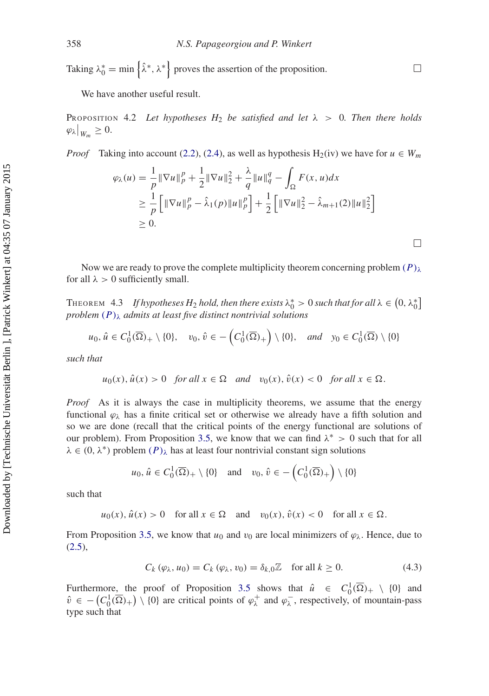Taking  $\lambda_0^* = \min \{ \hat{\lambda}^*, \lambda^* \}$  proves the assertion of the proposition.  $\Box$ 

<span id="page-16-0"></span>We have another useful result.

PROPOSITION 4.2 Let hypotheses  $H_2$  be satisfied and let  $\lambda > 0$ . Then there holds  $\left. \varphi _{\lambda }\right| _{W_{m}}\geq 0.$ 

*Proof* Taking into account [\(2.2\)](#page-3-1), [\(2.4\)](#page-4-1), as well as hypothesis H<sub>2</sub>(iv) we have for  $u \in W_m$ 

$$
\varphi_{\lambda}(u) = \frac{1}{p} \|\nabla u\|_{p}^{p} + \frac{1}{2} \|\nabla u\|_{2}^{2} + \frac{\lambda}{q} \|u\|_{q}^{q} - \int_{\Omega} F(x, u) dx
$$
  
\n
$$
\geq \frac{1}{p} \left[ \|\nabla u\|_{p}^{p} - \hat{\lambda}_{1}(p) \|u\|_{p}^{p} \right] + \frac{1}{2} \left[ \|\nabla u\|_{2}^{2} - \hat{\lambda}_{m+1}(2) \|u\|_{2}^{2} \right]
$$
  
\n
$$
\geq 0.
$$

Now we are ready to prove the complete multiplicity theorem concerning problem  $(P)_{\lambda}$ for all  $\lambda > 0$  sufficiently small.

THEOREM 4.3 If hypotheses  $H_2$  hold, then there exists  $\lambda_0^* > 0$  such that for all  $\lambda \in (0, \lambda_0^*]$ *problem*  $(P)$ <sub> $\lambda$ </sub> *admits at least five distinct nontrivial solutions* 

$$
u_0, \hat{u} \in C_0^1(\overline{\Omega})_+ \setminus \{0\}, \quad v_0, \hat{v} \in -\left(C_0^1(\overline{\Omega})_+\right) \setminus \{0\}, \quad and \quad y_0 \in C_0^1(\overline{\Omega}) \setminus \{0\}
$$

*such that*

Downloaded by [Technische Universität Berlin ], [Patrick Winkert] at 04:35 07 January 2015 Downloaded by [Technische Universität Berlin], [Patrick Winkert] at 04:35 07 January 2015

$$
u_0(x)
$$
,  $\hat{u}(x) > 0$  for all  $x \in \Omega$  and  $v_0(x)$ ,  $\hat{v}(x) < 0$  for all  $x \in \Omega$ .

*Proof* As it is always the case in multiplicity theorems, we assume that the energy functional  $\varphi_{\lambda}$  has a finite critical set or otherwise we already have a fifth solution and so we are done (recall that the critical points of the energy functional are solutions of our problem). From Proposition [3.5,](#page-11-3) we know that we can find  $\lambda^* > 0$  such that for all  $\lambda \in (0, \lambda^*)$  problem  $(P)_{\lambda}$  has at least four nontrivial constant sign solutions

$$
u_0, \hat{u} \in C_0^1(\overline{\Omega})_+ \setminus \{0\}
$$
 and  $v_0, \hat{v} \in -\left(C_0^1(\overline{\Omega})_+\right) \setminus \{0\}$ 

such that

$$
u_0(x)
$$
,  $\hat{u}(x) > 0$  for all  $x \in \Omega$  and  $v_0(x)$ ,  $\hat{v}(x) < 0$  for all  $x \in \Omega$ .

From Proposition [3.5,](#page-11-3) we know that  $u_0$  and  $v_0$  are local minimizers of  $\varphi_\lambda$ . Hence, due to  $(2.5),$  $(2.5),$ 

<span id="page-16-1"></span>
$$
C_k(\varphi_\lambda, u_0) = C_k(\varphi_\lambda, v_0) = \delta_{k,0} \mathbb{Z} \quad \text{for all } k \ge 0.
$$
 (4.3)

Furthermore, the proof of Proposition [3.5](#page-11-3) shows that  $\hat{u} \in C_0^1(\overline{\Omega})_+ \setminus \{0\}$  and  $\hat{v} \in -\left(C_0^1(\overline{\Omega})_+\right) \setminus \{0\}$  are critical points of  $\varphi_{\lambda}^+$  and  $\varphi_{\lambda}^-$ , respectively, of mountain-pass type such that

 $\Box$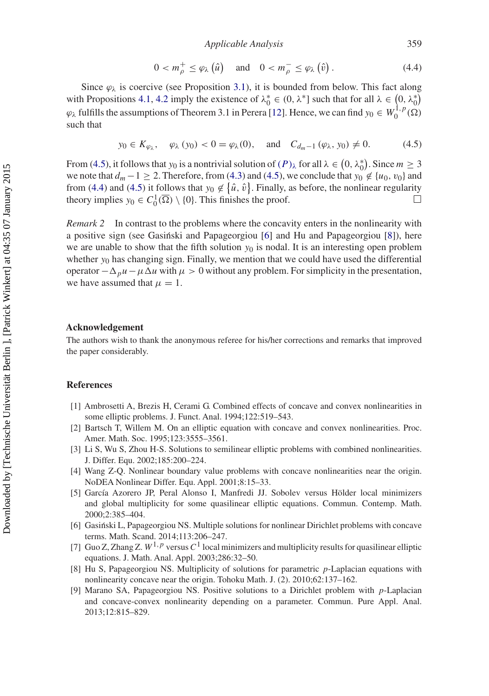*Applicable Analysis* 359

<span id="page-17-10"></span>
$$
0 < m_{\rho}^{+} \leq \varphi_{\lambda} \left( \hat{u} \right) \quad \text{and} \quad 0 < m_{\rho}^{-} \leq \varphi_{\lambda} \left( \hat{v} \right). \tag{4.4}
$$

Since  $\varphi_{\lambda}$  is coercive (see Proposition [3.1\)](#page-6-0), it is bounded from below. This fact along with Propositions [4.1,](#page-15-2) [4.2](#page-16-0) imply the existence of  $\lambda_0^* \in (0, \lambda^*]$  such that for all  $\lambda \in (0, \lambda_0^*)$  $\varphi_{\lambda}$  fulfills the assumptions of Theorem 3.1 in Perera [\[12](#page-18-2)]. Hence, we can find  $y_0 \in W_0^{1,p}(\Omega)$ such that

<span id="page-17-9"></span>
$$
y_0 \in K_{\varphi_\lambda}
$$
,  $\varphi_\lambda(y_0) < 0 = \varphi_\lambda(0)$ , and  $C_{d_m-1}(\varphi_\lambda, y_0) \neq 0$ . (4.5)

From [\(4.5\)](#page-17-9), it follows that *y*<sub>0</sub> is a nontrivial solution of  $(P)_{\lambda}$  for all  $\lambda \in (0, \lambda_0^*)$ . Since  $m \ge 3$ we note that  $d_m - 1 \geq 2$ . Therefore, from [\(4.3\)](#page-16-1) and [\(4.5\)](#page-17-9), we conclude that  $y_0 \notin \{u_0, v_0\}$  and from [\(4.4\)](#page-17-10) and [\(4.5\)](#page-17-9) it follows that  $y_0 \notin {\hat{u}, \hat{v}}$ . Finally, as before, the nonlinear regularity theory implies  $y_0 \in C_0^1(\overline{\Omega}) \setminus \{0\}$ . This finishes the proof.  $\Box$  $\Box$ 

*Remark 2* In contrast to the problems where the concavity enters in the nonlinearity with a positive sign (see Gasiński and Papageorgiou [[6\]](#page-17-5) and Hu and Papageorgiou [\[8](#page-17-7)]), here we are unable to show that the fifth solution  $y_0$  is nodal. It is an interesting open problem whether  $y_0$  has changing sign. Finally, we mention that we could have used the differential operator  $-\Delta_\nu u - \mu \Delta u$  with  $\mu > 0$  without any problem. For simplicity in the presentation, we have assumed that  $\mu = 1$ .

#### **Acknowledgement**

The authors wish to thank the anonymous referee for his/her corrections and remarks that improved the paper considerably.

### **References**

- <span id="page-17-0"></span>[1] Ambrosetti A, Brezis H, Cerami G. Combined effects of concave and convex nonlinearities in some elliptic problems. J. Funct. Anal. 1994;122:519–543.
- <span id="page-17-1"></span>[2] Bartsch T, Willem M. On an elliptic equation with concave and convex nonlinearities. Proc. Amer. Math. Soc. 1995;123:3555–3561.
- <span id="page-17-2"></span>[3] Li S, Wu S, Zhou H-S. Solutions to semilinear elliptic problems with combined nonlinearities. J. Differ. Equ. 2002;185:200–224.
- <span id="page-17-3"></span>[4] Wang Z-Q. Nonlinear boundary value problems with concave nonlinearities near the origin. NoDEA Nonlinear Differ. Equ. Appl. 2001;8:15–33.
- <span id="page-17-4"></span>[5] García Azorero JP, Peral Alonso I, Manfredi JJ. Sobolev versus Hölder local minimizers and global multiplicity for some quasilinear elliptic equations. Commun. Contemp. Math. 2000;2:385–404.
- <span id="page-17-5"></span>[6] Gasinski L, Papageorgiou NS. Multiple solutions for nonlinear Dirichlet problems with concave ´ terms. Math. Scand. 2014;113:206–247.
- <span id="page-17-6"></span>[7] Guo Z, Zhang Z.  $W^{1,p}$  versus  $C^1$  local minimizers and multiplicity results for quasilinear elliptic equations. J. Math. Anal. Appl. 2003;286:32–50.
- <span id="page-17-7"></span>[8] Hu S, Papageorgiou NS. Multiplicity of solutions for parametric *p*-Laplacian equations with nonlinearity concave near the origin. Tohoku Math. J. (2). 2010;62:137–162.
- <span id="page-17-8"></span>[9] Marano SA, Papageorgiou NS. Positive solutions to a Dirichlet problem with *p*-Laplacian and concave-convex nonlinearity depending on a parameter. Commun. Pure Appl. Anal. 2013;12:815–829.